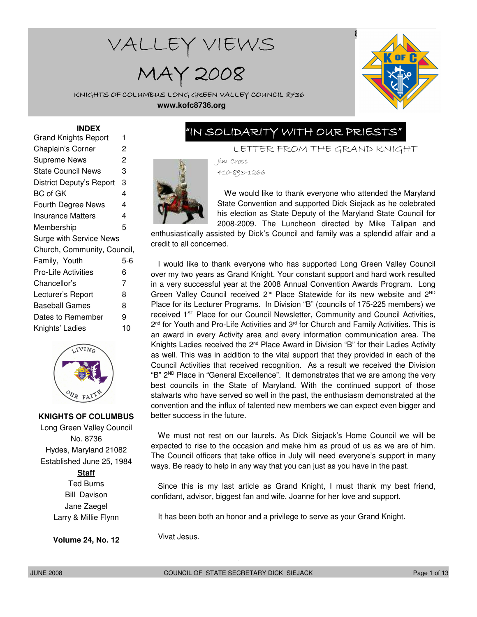# WALLEY VIEWS

MAY 2008



KNIGHTS OF COLUMBUS LONG GREEN VALLEY COUNCIL 8736 **www.kofc8736.org**

#### **INDEX**

| Grand Knights Report           |                |  |  |  |
|--------------------------------|----------------|--|--|--|
| Chaplain's Corner              | 2              |  |  |  |
| <b>Supreme News</b>            | $\overline{c}$ |  |  |  |
| State Council News             | 3              |  |  |  |
| District Deputy's Report       | 3              |  |  |  |
| BC of GK                       | 4              |  |  |  |
| Fourth Degree News             | 4              |  |  |  |
| <b>Insurance Matters</b>       | 4              |  |  |  |
| Membership                     | 5              |  |  |  |
| <b>Surge with Service News</b> |                |  |  |  |
| Church, Community, Council,    |                |  |  |  |
| Family, Youth                  | 5-6            |  |  |  |
| Pro-Life Activities            | 6              |  |  |  |
| Chancellor's                   | 7              |  |  |  |
| Lecturer's Report              | 8              |  |  |  |
| <b>Baseball Games</b>          | 8              |  |  |  |
| Dates to Remember              | 9              |  |  |  |
| Knights' Ladies                | 10             |  |  |  |
|                                |                |  |  |  |



#### **KNIGHTS OF COLUMBUS**

Long Green Valley Council No. 8736 Hydes, Maryland 21082 Established June 25, 1984

#### **Staff**

Ted Burns Bill Davison Jane Zaegel Larry & Millie Flynn

**Volume 24, No. 12**

# "IN SOLIDARITY WITH OUR PRIESTS"

LETTER FROM THE GRAND KNIGHT

Jim Cross 410-893-1266



We would like to thank everyone who attended the Maryland State Convention and supported Dick Siejack as he celebrated his election as State Deputy of the Maryland State Council for 2008-2009. The Luncheon directed by Mike Talipan and

enthusiastically assisted by Dick's Council and family was a splendid affair and a credit to all concerned.

I would like to thank everyone who has supported Long Green Valley Council over my two years as Grand Knight. Your constant support and hard work resulted in a very successful year at the 2008 Annual Convention Awards Program. Long Green Valley Council received  $2^{nd}$  Place Statewide for its new website and  $2^{ND}$ Place for its Lecturer Programs. In Division "B" (councils of 175-225 members) we received 1<sup>ST</sup> Place for our Council Newsletter, Community and Council Activities, 2<sup>nd</sup> for Youth and Pro-Life Activities and 3<sup>rd</sup> for Church and Family Activities. This is an award in every Activity area and every information communication area. The Knights Ladies received the  $2<sup>nd</sup>$  Place Award in Division "B" for their Ladies Activity as well. This was in addition to the vital support that they provided in each of the Council Activities that received recognition. As a result we received the Division "B"  $2^{ND}$  Place in "General Excellence". It demonstrates that we are among the very best councils in the State of Maryland. With the continued support of those stalwarts who have served so well in the past, the enthusiasm demonstrated at the convention and the influx of talented new members we can expect even bigger and better success in the future.

We must not rest on our laurels. As Dick Siejack's Home Council we will be expected to rise to the occasion and make him as proud of us as we are of him. The Council officers that take office in July will need everyone's support in many ways. Be ready to help in any way that you can just as you have in the past.

Since this is my last article as Grand Knight, I must thank my best friend, confidant, advisor, biggest fan and wife, Joanne for her love and support.

It has been both an honor and a privilege to serve as your Grand Knight.

Vivat Jesus.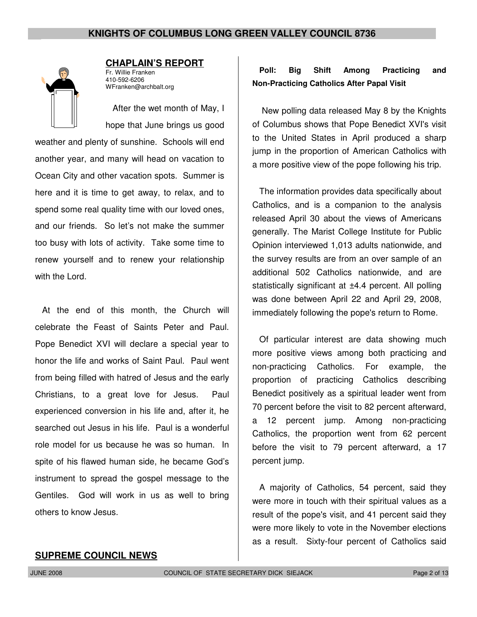

### **CHAPLAIN'S REPORT**

Fr. Willie Franken 410-592-6206 WFranken@archbalt.org

After the wet month of May, I hope that June brings us good

weather and plenty of sunshine. Schools will end another year, and many will head on vacation to Ocean City and other vacation spots. Summer is here and it is time to get away, to relax, and to spend some real quality time with our loved ones, and our friends. So let's not make the summer too busy with lots of activity. Take some time to renew yourself and to renew your relationship with the Lord.

At the end of this month, the Church will celebrate the Feast of Saints Peter and Paul. Pope Benedict XVI will declare a special year to honor the life and works of Saint Paul. Paul went from being filled with hatred of Jesus and the early Christians, to a great love for Jesus. Paul experienced conversion in his life and, after it, he searched out Jesus in his life. Paul is a wonderful role model for us because he was so human. In spite of his flawed human side, he became God's instrument to spread the gospel message to the Gentiles. God will work in us as well to bring others to know Jesus.

# **Poll: Big Shift Among Practicing and Non-Practicing Catholics After Papal Visit**

New polling data released May 8 by the Knights of Columbus shows that Pope Benedict XVI's visit to the United States in April produced a sharp jump in the proportion of American Catholics with a more positive view of the pope following his trip.

The information provides data specifically about Catholics, and is a companion to the analysis released April 30 about the views of Americans generally. The Marist College Institute for Public Opinion interviewed 1,013 adults nationwide, and the survey results are from an over sample of an additional 502 Catholics nationwide, and are statistically significant at  $\pm 4.4$  percent. All polling was done between April 22 and April 29, 2008, immediately following the pope's return to Rome.

Of particular interest are data showing much more positive views among both practicing and non-practicing Catholics. For example, the proportion of practicing Catholics describing Benedict positively as a spiritual leader went from 70 percent before the visit to 82 percent afterward, a 12 percent jump. Among non-practicing Catholics, the proportion went from 62 percent before the visit to 79 percent afterward, a 17 percent jump.

A majority of Catholics, 54 percent, said they were more in touch with their spiritual values as a result of the pope's visit, and 41 percent said they were more likely to vote in the November elections as a result. Sixty-four percent of Catholics said

#### **SUPREME COUNCIL NEWS**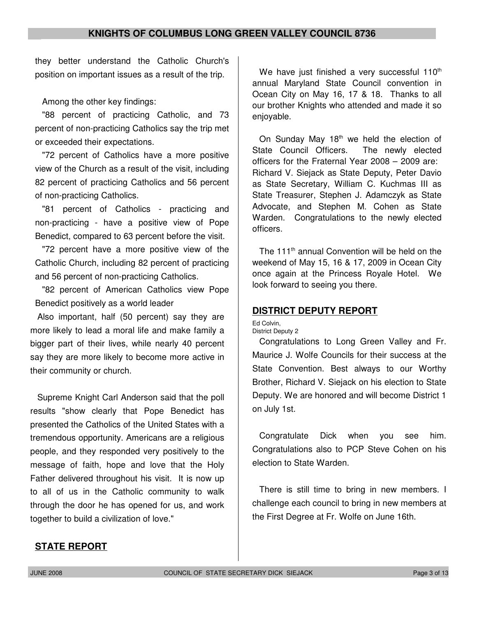they better understand the Catholic Church's position on important issues as a result of the trip.

Among the other key findings:

"88 percent of practicing Catholic, and 73 percent of non-practicing Catholics say the trip met or exceeded their expectations.

"72 percent of Catholics have a more positive view of the Church as a result of the visit, including 82 percent of practicing Catholics and 56 percent of non-practicing Catholics.

"81 percent of Catholics - practicing and non-practicing - have a positive view of Pope Benedict, compared to 63 percent before the visit.

"72 percent have a more positive view of the Catholic Church, including 82 percent of practicing and 56 percent of non-practicing Catholics.

"82 percent of American Catholics view Pope Benedict positively as a world leader

Also important, half (50 percent) say they are more likely to lead a moral life and make family a bigger part of their lives, while nearly 40 percent say they are more likely to become more active in their community or church.

Supreme Knight Carl Anderson said that the poll results "show clearly that Pope Benedict has presented the Catholics of the United States with a tremendous opportunity. Americans are a religious people, and they responded very positively to the message of faith, hope and love that the Holy Father delivered throughout his visit. It is now up to all of us in the Catholic community to walk through the door he has opened for us, and work together to build a civilization of love."

We have just finished a very successful  $110<sup>th</sup>$ annual Maryland State Council convention in Ocean City on May 16, 17 & 18. Thanks to all our brother Knights who attended and made it so enjoyable.

On Sunday May  $18<sup>th</sup>$  we held the election of State Council Officers. The newly elected officers for the Fraternal Year 2008 – 2009 are: Richard V. Siejack as State Deputy, Peter Davio as State Secretary, William C. Kuchmas III as State Treasurer, Stephen J. Adamczyk as State Advocate, and Stephen M. Cohen as State Warden. Congratulations to the newly elected officers.

The 111<sup>th</sup> annual Convention will be held on the weekend of May 15, 16 & 17, 2009 in Ocean City once again at the Princess Royale Hotel. We look forward to seeing you there.

# **DISTRICT DEPUTY REPORT**

Ed Colvin, District Deputy 2

Congratulations to Long Green Valley and Fr. Maurice J. Wolfe Councils for their success at the State Convention. Best always to our Worthy Brother, Richard V. Siejack on his election to State Deputy. We are honored and will become District 1 on July 1st.

Congratulate Dick when you see him. Congratulations also to PCP Steve Cohen on his election to State Warden.

There is still time to bring in new members. I challenge each council to bring in new members at the First Degree at Fr. Wolfe on June 16th.

#### **STATE REPORT**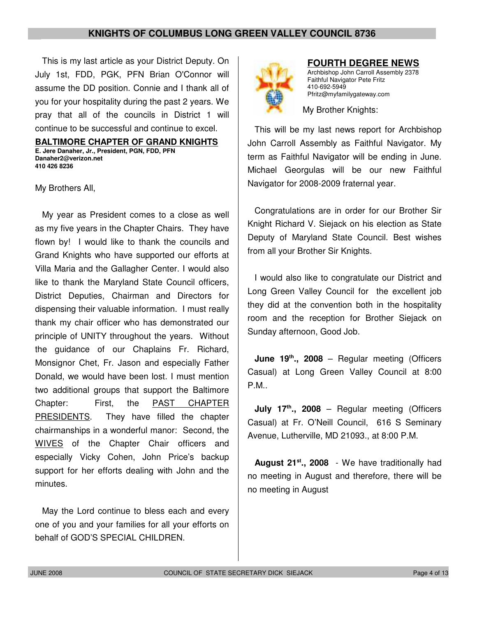This is my last article as your District Deputy. On July 1st, FDD, PGK, PFN Brian O'Connor will assume the DD position. Connie and I thank all of you for your hospitality during the past 2 years. We pray that all of the councils in District 1 will continue to be successful and continue to excel.

**BALTIMORE CHAPTER OF GRAND KNIGHTS E. Jere Danaher, Jr., President, PGN, FDD, PFN Danaher2@verizon.net 410 426 8236**

My Brothers All,

My year as President comes to a close as well as my five years in the Chapter Chairs. They have flown by! I would like to thank the councils and Grand Knights who have supported our efforts at Villa Maria and the Gallagher Center. I would also like to thank the Maryland State Council officers, District Deputies, Chairman and Directors for dispensing their valuable information. I must really thank my chair officer who has demonstrated our principle of UNITY throughout the years. Without the guidance of our Chaplains Fr. Richard, Monsignor Chet, Fr. Jason and especially Father Donald, we would have been lost. I must mention two additional groups that support the Baltimore Chapter: First, the PAST CHAPTER PRESIDENTS. They have filled the chapter chairmanships in a wonderful manor: Second, the WIVES of the Chapter Chair officers and especially Vicky Cohen, John Price's backup support for her efforts dealing with John and the minutes.

May the Lord continue to bless each and every one of you and your families for all your efforts on behalf of GOD'S SPECIAL CHILDREN.



#### **FOURTH DEGREE NEWS**

Archbishop John Carroll Assembly 2378 Faithful Navigator Pete Fritz 410-692-5949 Pfritz@myfamilygateway.com

My Brother Knights:

This will be my last news report for Archbishop John Carroll Assembly as Faithful Navigator. My term as Faithful Navigator will be ending in June. Michael Georgulas will be our new Faithful Navigator for 2008-2009 fraternal year.

Congratulations are in order for our Brother Sir Knight Richard V. Siejack on his election as State Deputy of Maryland State Council. Best wishes from all your Brother Sir Knights.

I would also like to congratulate our District and Long Green Valley Council for the excellent job they did at the convention both in the hospitality room and the reception for Brother Siejack on Sunday afternoon, Good Job.

**June 19th., 2008** – Regular meeting (Officers Casual) at Long Green Valley Council at 8:00 P.M..

**July 17th., 2008** – Regular meeting (Officers Casual) at Fr. O'Neill Council, 616 S Seminary Avenue, Lutherville, MD 21093., at 8:00 P.M.

**August 21st., 2008** - We have traditionally had no meeting in August and therefore, there will be no meeting in August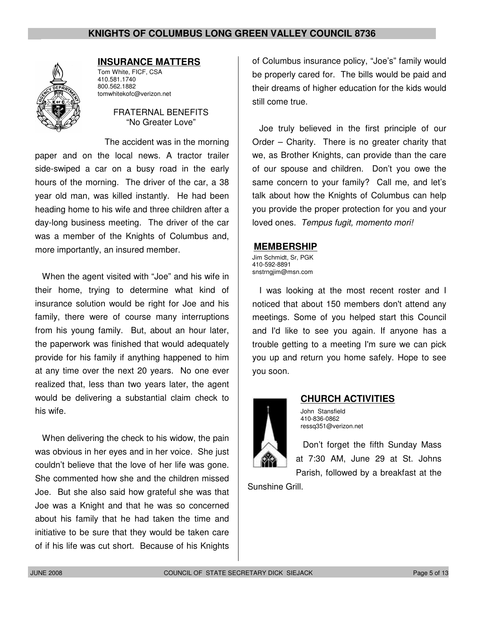

#### **INSURANCE MATTERS**

Tom White, FICF, CSA 410.581.1740 800.562.1882 tomwhitekofc@verizon.net

#### FRATERNAL BENEFITS "No Greater Love"

The accident was in the morning paper and on the local news. A tractor trailer side-swiped a car on a busy road in the early hours of the morning. The driver of the car, a 38 year old man, was killed instantly. He had been heading home to his wife and three children after a day-long business meeting. The driver of the car was a member of the Knights of Columbus and, more importantly, an insured member.

When the agent visited with "Joe" and his wife in their home, trying to determine what kind of insurance solution would be right for Joe and his family, there were of course many interruptions from his young family. But, about an hour later, the paperwork was finished that would adequately provide for his family if anything happened to him at any time over the next 20 years. No one ever realized that, less than two years later, the agent would be delivering a substantial claim check to his wife.

When delivering the check to his widow, the pain was obvious in her eyes and in her voice. She just couldn't believe that the love of her life was gone. She commented how she and the children missed Joe. But she also said how grateful she was that Joe was a Knight and that he was so concerned about his family that he had taken the time and initiative to be sure that they would be taken care of if his life was cut short. Because of his Knights

of Columbus insurance policy, "Joe's" family would be properly cared for. The bills would be paid and their dreams of higher education for the kids would still come true.

Joe truly believed in the first principle of our Order – Charity. There is no greater charity that we, as Brother Knights, can provide than the care of our spouse and children. Don't you owe the same concern to your family? Call me, and let's talk about how the Knights of Columbus can help you provide the proper protection for you and your loved ones. Tempus fugit, momento mori!

#### **MEMBERSHIP**

Jim Schmidt, Sr, PGK 410-592-8891 snstrngjim@msn.com

I was looking at the most recent roster and I noticed that about 150 members don't attend any meetings. Some of you helped start this Council and I'd like to see you again. If anyone has a trouble getting to a meeting I'm sure we can pick you up and return you home safely. Hope to see you soon.



#### **CHURCH ACTIVITIES**

John Stansfield 410-836-0862 ressq351@verizon.net

Don't forget the fifth Sunday Mass at 7:30 AM, June 29 at St. Johns Parish, followed by a breakfast at the

Sunshine Grill.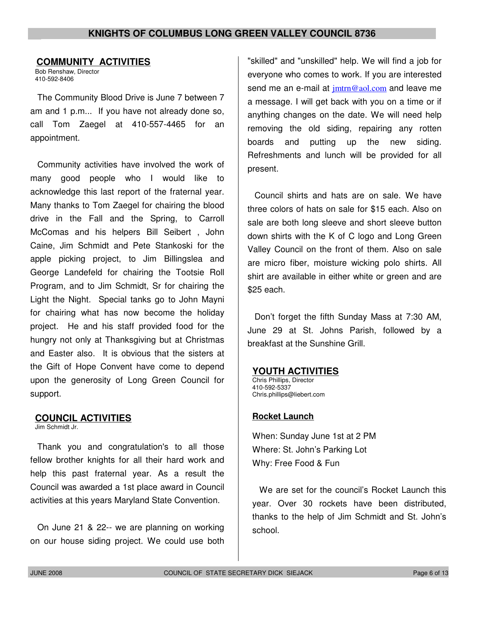#### **COMMUNITY ACTIVITIES**

Bob Renshaw, Director 410-592-8406

The Community Blood Drive is June 7 between 7 am and 1 p.m... If you have not already done so, call Tom Zaegel at 410-557-4465 for an appointment.

Community activities have involved the work of many good people who I would like to acknowledge this last report of the fraternal year. Many thanks to Tom Zaegel for chairing the blood drive in the Fall and the Spring, to Carroll McComas and his helpers Bill Seibert , John Caine, Jim Schmidt and Pete Stankoski for the apple picking project, to Jim Billingslea and George Landefeld for chairing the Tootsie Roll Program, and to Jim Schmidt, Sr for chairing the Light the Night. Special tanks go to John Mayni for chairing what has now become the holiday project. He and his staff provided food for the hungry not only at Thanksgiving but at Christmas and Easter also. It is obvious that the sisters at the Gift of Hope Convent have come to depend upon the generosity of Long Green Council for support.

#### **COUNCIL ACTIVITIES**

Jim Schmidt Jr.

Thank you and congratulation's to all those fellow brother knights for all their hard work and help this past fraternal year. As a result the Council was awarded a 1st place award in Council activities at this years Maryland State Convention.

On June 21 & 22-- we are planning on working on our house siding project. We could use both

"skilled" and "unskilled" help. We will find a job for everyone who comes to work. If you are interested send me an e-mail at  $\frac{imtr}{m}$  aol.com and leave me a message. I will get back with you on a time or if anything changes on the date. We will need help removing the old siding, repairing any rotten boards and putting up the new siding. Refreshments and lunch will be provided for all present.

Council shirts and hats are on sale. We have three colors of hats on sale for \$15 each. Also on sale are both long sleeve and short sleeve button down shirts with the K of C logo and Long Green Valley Council on the front of them. Also on sale are micro fiber, moisture wicking polo shirts. All shirt are available in either white or green and are \$25 each.

Don't forget the fifth Sunday Mass at 7:30 AM, June 29 at St. Johns Parish, followed by a breakfast at the Sunshine Grill.

#### **YOUTH ACTIVITIES**

Chris Phillips, Director 410-592-5337 Chris.phillips@liebert.com

#### **Rocket Launch**

When: Sunday June 1st at 2 PM Where: St. John's Parking Lot Why: Free Food & Fun

We are set for the council's Rocket Launch this year. Over 30 rockets have been distributed, thanks to the help of Jim Schmidt and St. John's school.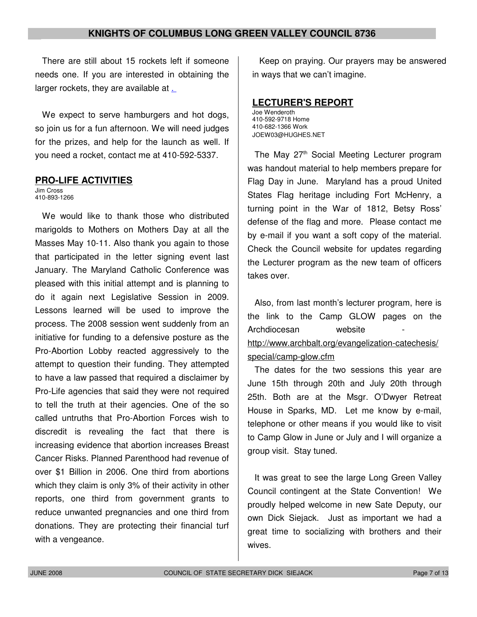There are still about 15 rockets left if someone needs one. If you are interested in obtaining the larger rockets, they are available at .

We expect to serve hamburgers and hot dogs, so join us for a fun afternoon. We will need judges for the prizes, and help for the launch as well. If you need a rocket, contact me at 410-592-5337.

#### **PRO-LIFE ACTIVITIES**

Jim Cross 410-893-1266

We would like to thank those who distributed marigolds to Mothers on Mothers Day at all the Masses May 10-11. Also thank you again to those that participated in the letter signing event last January. The Maryland Catholic Conference was pleased with this initial attempt and is planning to do it again next Legislative Session in 2009. Lessons learned will be used to improve the process. The 2008 session went suddenly from an initiative for funding to a defensive posture as the Pro-Abortion Lobby reacted aggressively to the attempt to question their funding. They attempted to have a law passed that required a disclaimer by Pro-Life agencies that said they were not required to tell the truth at their agencies. One of the so called untruths that Pro-Abortion Forces wish to discredit is revealing the fact that there is increasing evidence that abortion increases Breast Cancer Risks. Planned Parenthood had revenue of over \$1 Billion in 2006. One third from abortions which they claim is only 3% of their activity in other reports, one third from government grants to reduce unwanted pregnancies and one third from donations. They are protecting their financial turf with a vengeance.

Keep on praying. Our prayers may be answered in ways that we can't imagine.

#### **LECTURER'S REPORT**

Joe Wenderoth 410-592-9718 Home 410-682-1366 Work JOEW03@HUGHES.NET

The May 27<sup>th</sup> Social Meeting Lecturer program was handout material to help members prepare for Flag Day in June. Maryland has a proud United States Flag heritage including Fort McHenry, a turning point in the War of 1812, Betsy Ross' defense of the flag and more. Please contact me by e-mail if you want a soft copy of the material. Check the Council website for updates regarding the Lecturer program as the new team of officers takes over.

Also, from last month's lecturer program, here is the link to the Camp GLOW pages on the Archdiocesan website http://www.archbalt.org/evangelization-catechesis/ special/camp-glow.cfm

The dates for the two sessions this year are June 15th through 20th and July 20th through 25th. Both are at the Msgr. O'Dwyer Retreat House in Sparks, MD. Let me know by e-mail, telephone or other means if you would like to visit to Camp Glow in June or July and I will organize a group visit. Stay tuned.

It was great to see the large Long Green Valley Council contingent at the State Convention! We proudly helped welcome in new Sate Deputy, our own Dick Siejack. Just as important we had a great time to socializing with brothers and their wives.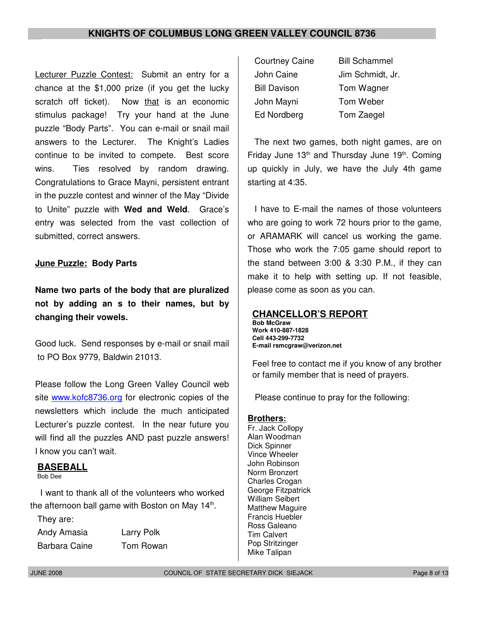Lecturer Puzzle Contest: Submit an entry for a chance at the \$1,000 prize (if you get the lucky scratch off ticket). Now that is an economic stimulus package! Try your hand at the June puzzle "Body Parts". You can e-mail or snail mail answers to the Lecturer. The Knight's Ladies continue to be invited to compete. Best score wins. Ties resolved by random drawing. Congratulations to Grace Mayni, persistent entrant in the puzzle contest and winner of the May "Divide to Unite" puzzle with **Wed and Weld**. Grace's entry was selected from the vast collection of submitted, correct answers.

## **June Puzzle: Body Parts**

**Name two parts of the body that are pluralized not by adding an s to their names, but by changing their vowels.**

Good luck. Send responses by e-mail or snail mail to PO Box 9779, Baldwin 21013.

Please follow the Long Green Valley Council web site www.kofc8736.org for electronic copies of the newsletters which include the much anticipated Lecturer's puzzle contest. In the near future you will find all the puzzles AND past puzzle answers! I know you can't wait.

#### **BASEBALL**

Bob Dee

I want to thank all of the volunteers who worked the afternoon ball game with Boston on May 14<sup>th</sup>.

They are:

Andy Amasia Larry Polk

Barbara Caine Tom Rowan

| <b>Courtney Caine</b> | <b>Bill Schammel</b> |
|-----------------------|----------------------|
| John Caine            | Jim Schmidt, Jr.     |
| <b>Bill Davison</b>   | Tom Wagner           |
| John Mayni            | Tom Weber            |
| Ed Nordberg           | Tom Zaegel           |

The next two games, both night games, are on Friday June  $13<sup>th</sup>$  and Thursday June  $19<sup>th</sup>$ . Coming up quickly in July, we have the July 4th game starting at 4:35.

I have to E-mail the names of those volunteers who are going to work 72 hours prior to the game, or ARAMARK will cancel us working the game. Those who work the 7:05 game should report to the stand between 3:00 & 3:30 P.M., if they can make it to help with setting up. If not feasible, please come as soon as you can.

#### **CHANCELLOR'S REPORT**

**Bob McGraw Work 410-887-1828 Cell 443-299-7732 E-mail rsmcgraw@verizon.net**

Feel free to contact me if you know of any brother or family member that is need of prayers.

Please continue to pray for the following:

#### **Brothers:**

Fr. Jack Collopy Alan Woodman Dick Spinner Vince Wheeler John Robinson Norm Bronzert Charles Crogan George Fitzpatrick William Seibert Matthew Maguire Francis Huebler Ross Galeano Tim Calvert Pop Stritzinger Mike Talipan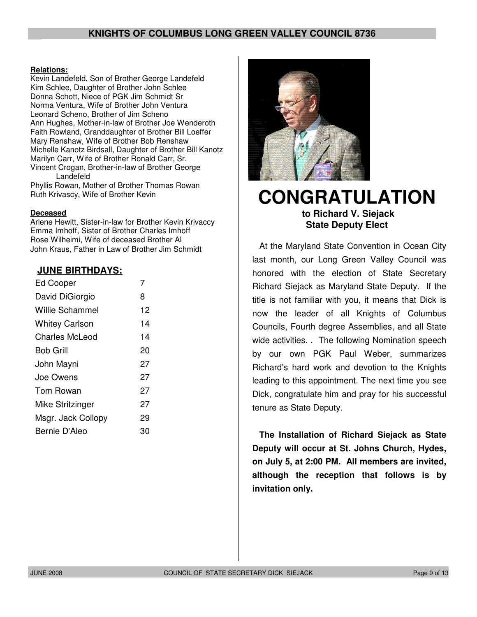#### **Relations:**

Kevin Landefeld, Son of Brother George Landefeld Kim Schlee, Daughter of Brother John Schlee Donna Schott, Niece of PGK Jim Schmidt Sr Norma Ventura, Wife of Brother John Ventura Leonard Scheno, Brother of Jim Scheno Ann Hughes, Mother-in-law of Brother Joe Wenderoth Faith Rowland, Granddaughter of Brother Bill Loeffer Mary Renshaw, Wife of Brother Bob Renshaw Michelle Kanotz Birdsall, Daughter of Brother Bill Kanotz Marilyn Carr, Wife of Brother Ronald Carr, Sr. Vincent Crogan, Brother-in-law of Brother George Landefeld

Phyllis Rowan, Mother of Brother Thomas Rowan Ruth Krivascy, Wife of Brother Kevin

#### **Deceased**

Arlene Hewitt, Sister-in-law for Brother Kevin Krivaccy Emma Imhoff, Sister of Brother Charles Imhoff Rose Wilheimi, Wife of deceased Brother Al John Kraus, Father in Law of Brother Jim Schmidt

#### **JUNE BIRTHDAYS:**

| <b>Ed Cooper</b>      | 7  |
|-----------------------|----|
| David DiGiorgio       | 8  |
| Willie Schammel       | 12 |
| <b>Whitey Carlson</b> | 14 |
| Charles McLeod        | 14 |
| <b>Bob Grill</b>      | 20 |
| John Mayni            | 27 |
| Joe Owens             | 27 |
| Tom Rowan             | 27 |
| Mike Stritzinger      | 27 |
| Msgr. Jack Collopy    | 29 |
| Bernie D'Aleo         | 30 |



# **CONGRATULATION to Richard V. Siejack State Deputy Elect**

At the Maryland State Convention in Ocean City last month, our Long Green Valley Council was honored with the election of State Secretary Richard Siejack as Maryland State Deputy. If the title is not familiar with you, it means that Dick is now the leader of all Knights of Columbus Councils, Fourth degree Assemblies, and all State wide activities. . The following Nomination speech by our own PGK Paul Weber, summarizes Richard's hard work and devotion to the Knights leading to this appointment. The next time you see Dick, congratulate him and pray for his successful tenure as State Deputy.

**The Installation of Richard Siejack as State Deputy will occur at St. Johns Church, Hydes, on July 5, at 2:00 PM. All members are invited, although the reception that follows is by invitation only.**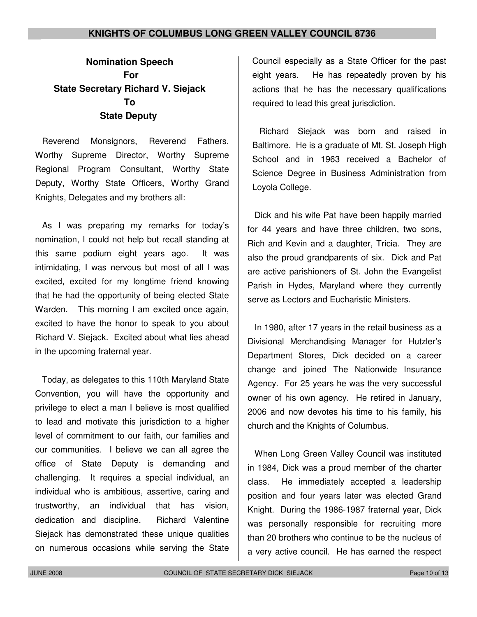# **Nomination Speech For State Secretary Richard V. Siejack To State Deputy**

Reverend Monsignors, Reverend Fathers, Worthy Supreme Director, Worthy Supreme Regional Program Consultant, Worthy State Deputy, Worthy State Officers, Worthy Grand Knights, Delegates and my brothers all:

As I was preparing my remarks for today's nomination, I could not help but recall standing at this same podium eight years ago. It was intimidating, I was nervous but most of all I was excited, excited for my longtime friend knowing that he had the opportunity of being elected State Warden. This morning I am excited once again, excited to have the honor to speak to you about Richard V. Siejack. Excited about what lies ahead in the upcoming fraternal year.

Today, as delegates to this 110th Maryland State Convention, you will have the opportunity and privilege to elect a man I believe is most qualified to lead and motivate this jurisdiction to a higher level of commitment to our faith, our families and our communities. I believe we can all agree the office of State Deputy is demanding and challenging. It requires a special individual, an individual who is ambitious, assertive, caring and trustworthy, an individual that has vision, dedication and discipline. Richard Valentine Siejack has demonstrated these unique qualities on numerous occasions while serving the State

Council especially as a State Officer for the past eight years. He has repeatedly proven by his actions that he has the necessary qualifications required to lead this great jurisdiction.

Richard Siejack was born and raised in Baltimore. He is a graduate of Mt. St. Joseph High School and in 1963 received a Bachelor of Science Degree in Business Administration from Loyola College.

Dick and his wife Pat have been happily married for 44 years and have three children, two sons, Rich and Kevin and a daughter, Tricia. They are also the proud grandparents of six. Dick and Pat are active parishioners of St. John the Evangelist Parish in Hydes, Maryland where they currently serve as Lectors and Eucharistic Ministers.

In 1980, after 17 years in the retail business as a Divisional Merchandising Manager for Hutzler's Department Stores, Dick decided on a career change and joined The Nationwide Insurance Agency. For 25 years he was the very successful owner of his own agency. He retired in January, 2006 and now devotes his time to his family, his church and the Knights of Columbus.

When Long Green Valley Council was instituted in 1984, Dick was a proud member of the charter class. He immediately accepted a leadership position and four years later was elected Grand Knight. During the 1986-1987 fraternal year, Dick was personally responsible for recruiting more than 20 brothers who continue to be the nucleus of a very active council. He has earned the respect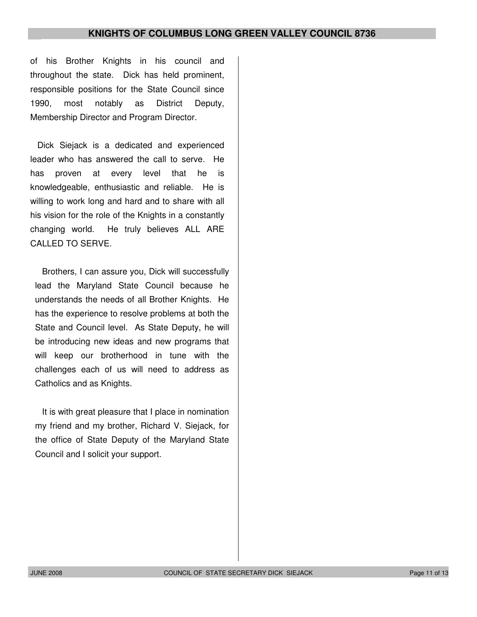of his Brother Knights in his council and throughout the state. Dick has held prominent, responsible positions for the State Council since 1990, most notably as District Deputy, Membership Director and Program Director.

Dick Siejack is a dedicated and experienced leader who has answered the call to serve. He has proven at every level that he is knowledgeable, enthusiastic and reliable. He is willing to work long and hard and to share with all his vision for the role of the Knights in a constantly changing world. He truly believes ALL ARE CALLED TO SERVE.

Brothers, I can assure you, Dick will successfully lead the Maryland State Council because he understands the needs of all Brother Knights. He has the experience to resolve problems at both the State and Council level. As State Deputy, he will be introducing new ideas and new programs that will keep our brotherhood in tune with the challenges each of us will need to address as Catholics and as Knights.

It is with great pleasure that I place in nomination my friend and my brother, Richard V. Siejack, for the office of State Deputy of the Maryland State Council and I solicit your support.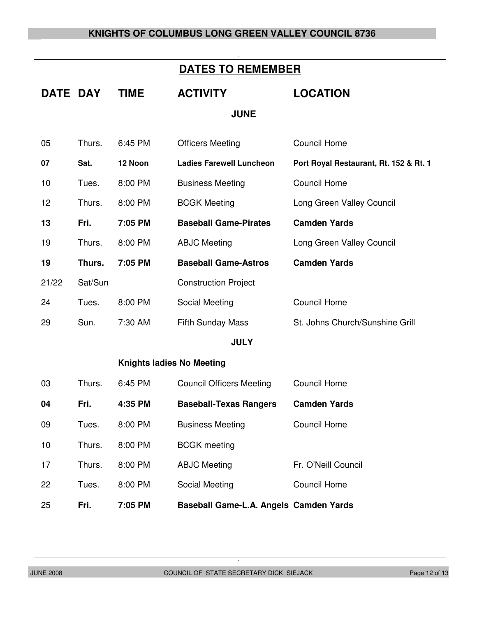| <b>DATES TO REMEMBER</b>         |         |             |                                        |                                        |  |
|----------------------------------|---------|-------------|----------------------------------------|----------------------------------------|--|
| DATE DAY                         |         | <b>TIME</b> | <b>ACTIVITY</b>                        | <b>LOCATION</b>                        |  |
| <b>JUNE</b>                      |         |             |                                        |                                        |  |
| 05                               | Thurs.  | 6:45 PM     | <b>Officers Meeting</b>                | <b>Council Home</b>                    |  |
| 07                               | Sat.    | 12 Noon     | <b>Ladies Farewell Luncheon</b>        | Port Royal Restaurant, Rt. 152 & Rt. 1 |  |
| 10                               | Tues.   | 8:00 PM     | <b>Business Meeting</b>                | <b>Council Home</b>                    |  |
| 12                               | Thurs.  | 8:00 PM     | <b>BCGK Meeting</b>                    | Long Green Valley Council              |  |
| 13                               | Fri.    | 7:05 PM     | <b>Baseball Game-Pirates</b>           | <b>Camden Yards</b>                    |  |
| 19                               | Thurs.  | 8:00 PM     | <b>ABJC Meeting</b>                    | Long Green Valley Council              |  |
| 19                               | Thurs.  | 7:05 PM     | <b>Baseball Game-Astros</b>            | <b>Camden Yards</b>                    |  |
| 21/22                            | Sat/Sun |             | <b>Construction Project</b>            |                                        |  |
| 24                               | Tues.   | 8:00 PM     | Social Meeting                         | <b>Council Home</b>                    |  |
| 29                               | Sun.    | 7:30 AM     | <b>Fifth Sunday Mass</b>               | St. Johns Church/Sunshine Grill        |  |
| <b>JULY</b>                      |         |             |                                        |                                        |  |
| <b>Knights ladies No Meeting</b> |         |             |                                        |                                        |  |
| 03                               | Thurs.  | 6:45 PM     | <b>Council Officers Meeting</b>        | <b>Council Home</b>                    |  |
| 04                               | Fri.    | 4:35 PM     | <b>Baseball-Texas Rangers</b>          | <b>Camden Yards</b>                    |  |
| 09                               | Tues.   | 8:00 PM     | <b>Business Meeting</b>                | <b>Council Home</b>                    |  |
| 10                               | Thurs.  | 8:00 PM     | <b>BCGK</b> meeting                    |                                        |  |
| 17                               | Thurs.  | 8:00 PM     | <b>ABJC Meeting</b>                    | Fr. O'Neill Council                    |  |
| 22                               | Tues.   | 8:00 PM     | Social Meeting                         | <b>Council Home</b>                    |  |
| 25                               | Fri.    | 7:05 PM     | Baseball Game-L.A. Angels Camden Yards |                                        |  |
|                                  |         |             |                                        |                                        |  |